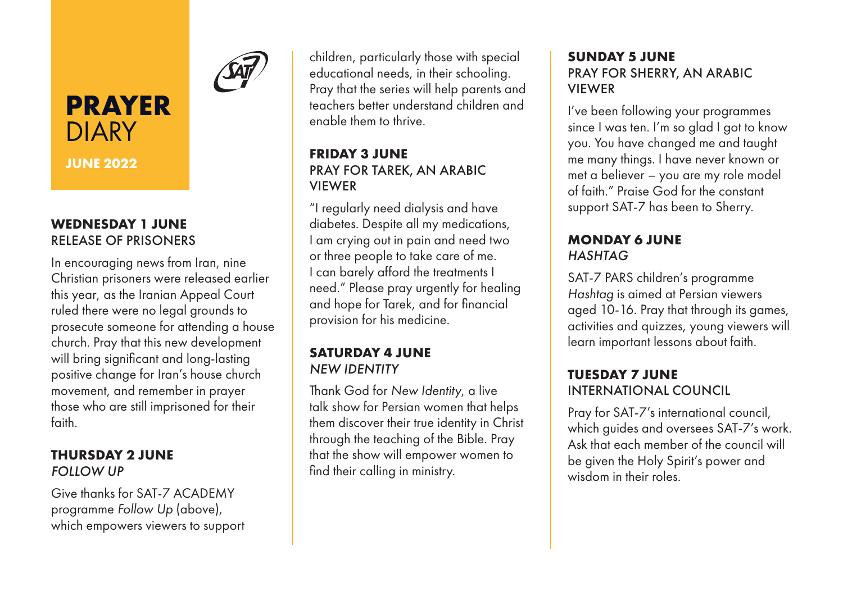

# **PRAYER DIARY**

**JUNE 2022**

## **WEDNESDAY 1 JUNE** RELEASE OF PRISONERS

In encouraging news from Iran, nine Christian prisoners were released earlier this year, as the Iranian Appeal Court ruled there were no legal grounds to prosecute someone for attending a house church. Pray that this new development will bring significant and long-lasting positive change for Iran's house church movement, and remember in prayer those who are still imprisoned for their faith.

#### **THURSDAY 2 JUNE** *FOLLOW UP*

Give thanks for SAT-7 ACADEMY programme *Follow Up* (above), which empowers viewers to support children, particularly those with special educational needs, in their schooling. Pray that the series will help parents and teachers better understand children and enable them to thrive.

#### **FRIDAY 3 JUNE** PRAY FOR TAREK, AN ARABIC VIEWER

"I regularly need dialysis and have diabetes. Despite all my medications, I am crying out in pain and need two or three people to take care of me. I can barely afford the treatments I need." Please pray urgently for healing and hope for Tarek, and for financial provision for his medicine.

### **SATURDAY 4 JUNE** *NEW IDENTITY*

Thank God for *New Identity*, a live talk show for Persian women that helps them discover their true identity in Christ through the teaching of the Bible. Pray that the show will empower women to find their calling in ministry.

#### **SUNDAY 5 JUNE** PRAY FOR SHERRY, AN ARABIC VIEWER

I've been following your programmes since I was ten. I'm so glad I got to know you. You have changed me and taught me many things. I have never known or met a believer – you are my role model of faith." Praise God for the constant support SAT-7 has been to Sherry.

## **MONDAY 6 JUNE** *HASHTAG*

SAT-7 PARS children's programme *Hashtag* is aimed at Persian viewers aged 10-16. Pray that through its games, activities and quizzes, young viewers will learn important lessons about faith.

## **TUESDAY 7 JUNE** INTERNATIONAL COUNCIL

Pray for SAT-7's international council, which guides and oversees SAT-7's work. Ask that each member of the council will be given the Holy Spirit's power and wisdom in their roles.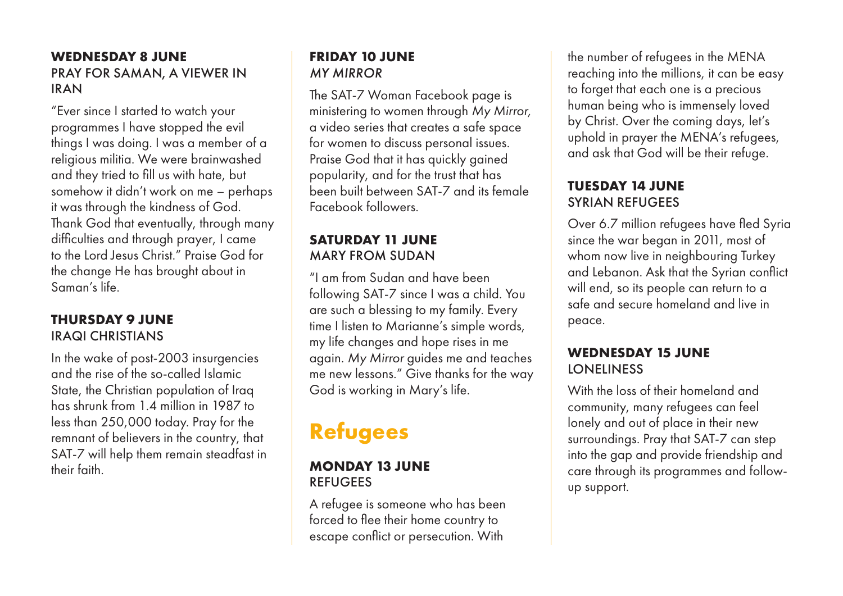#### **WEDNESDAY 8 JUNE** PRAY FOR SAMAN, A VIEWER IN IRAN

"Ever since I started to watch your programmes I have stopped the evil things I was doing. I was a member of a religious militia. We were brainwashed and they tried to fill us with hate, but somehow it didn't work on me – perhaps it was through the kindness of God. Thank God that eventually, through many difficulties and through prayer, I came to the Lord Jesus Christ." Praise God for the change He has brought about in Saman's life.

### **THURSDAY 9 JUNE** IRAQI CHRISTIANS

In the wake of post-2003 insurgencies and the rise of the so-called Islamic State, the Christian population of Iraq has shrunk from 1.4 million in 1987 to less than 250,000 today. Pray for the remnant of believers in the country, that SAT-7 will help them remain steadfast in their faith.

#### **FRIDAY 10 JUNE**  *MY MIRROR*

The SAT-7 Woman Facebook page is ministering to women through *My Mirror,* a video series that creates a safe space for women to discuss personal issues. Praise God that it has quickly gained popularity, and for the trust that has been built between SAT-7 and its female Facebook followers.

### **SATURDAY 11 JUNE** MARY FROM SUDAN

"I am from Sudan and have been following SAT-7 since I was a child. You are such a blessing to my family. Every time I listen to Marianne's simple words, my life changes and hope rises in me again. *My Mirror* guides me and teaches me new lessons." Give thanks for the way God is working in Mary's life.

## **Refugees**

#### **MONDAY 13 JUNE REFUGEES**

A refugee is someone who has been forced to flee their home country to escape conflict or persecution. With

the number of refugees in the MENA reaching into the millions, it can be easy to forget that each one is a precious human being who is immensely loved by Christ. Over the coming days, let's uphold in prayer the MENA's refugees, and ask that God will be their refuge.

### **TUESDAY 14 JUNE** SYRIAN REFUGEES

Over 6.7 million refugees have fled Syria since the war began in 2011, most of whom now live in neighbouring Turkey and Lebanon. Ask that the Syrian conflict will end, so its people can return to a safe and secure homeland and live in peace.

#### **WEDNESDAY 15 JUNE LONELINESS**

With the loss of their homeland and community, many refugees can feel lonely and out of place in their new surroundings. Pray that SAT-7 can step into the gap and provide friendship and care through its programmes and followup support.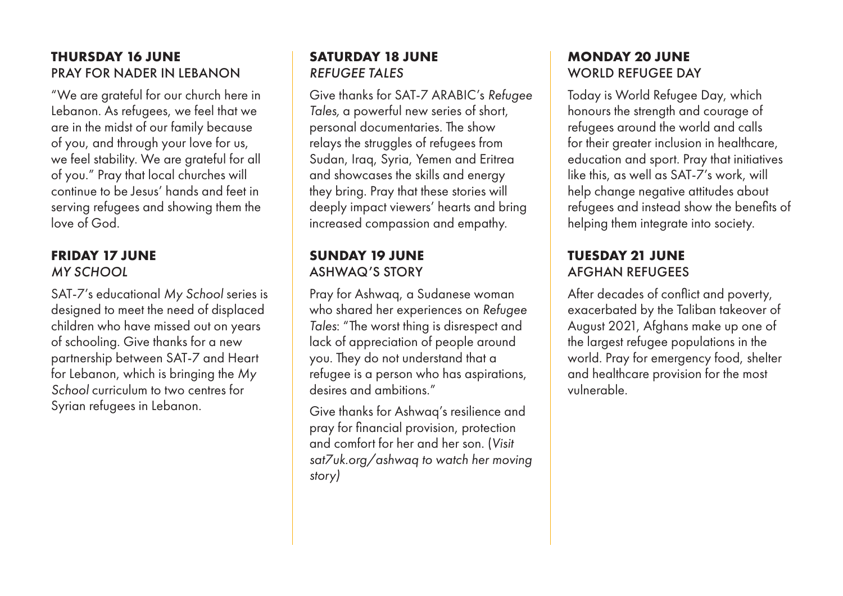#### **THURSDAY 16 JUNE** PRAY FOR NADER IN LEBANON

"We are grateful for our church here in Lebanon. As refugees, we feel that we are in the midst of our family because of you, and through your love for us, we feel stability. We are grateful for all of you." Pray that local churches will continue to be Jesus' hands and feet in serving refugees and showing them the love of God.

#### **FRIDAY 17 JUNE** *MY SCHOOL*

SAT-7's educational *My School* series is designed to meet the need of displaced children who have missed out on years of schooling. Give thanks for a new partnership between SAT-7 and Heart for Lebanon, which is bringing the *My School* curriculum to two centres for Syrian refugees in Lebanon.

## **SATURDAY 18 JUNE** *REFUGEE TALES*

Give thanks for SAT-7 ARABIC's *Refugee Tales,* a powerful new series of short, personal documentaries. The show relays the struggles of refugees from Sudan, Iraq, Syria, Yemen and Eritrea and showcases the skills and energy they bring. Pray that these stories will deeply impact viewers' hearts and bring increased compassion and empathy.

## **SUNDAY 19 JUNE** ASHWAQ'S STORY

Pray for Ashwaq, a Sudanese woman who shared her experiences on *Refugee Tales*: "The worst thing is disrespect and lack of appreciation of people around you. They do not understand that a refugee is a person who has aspirations, desires and ambitions."

Give thanks for Ashwaq's resilience and pray for financial provision, protection and comfort for her and her son. (*Visit sat7uk.org/ashwaq to watch her moving story)*

## **MONDAY 20 JUNE** WORLD REFUGEE DAY

Today is World Refugee Day, which honours the strength and courage of refugees around the world and calls for their greater inclusion in healthcare, education and sport. Pray that initiatives like this, as well as SAT-7's work, will help change negative attitudes about refugees and instead show the benefits of helping them integrate into society.

## **TUESDAY 21 JUNE** AFGHAN REFUGEES

After decades of conflict and poverty, exacerbated by the Taliban takeover of August 2021, Afghans make up one of the largest refugee populations in the world. Pray for emergency food, shelter and healthcare provision for the most vulnerable.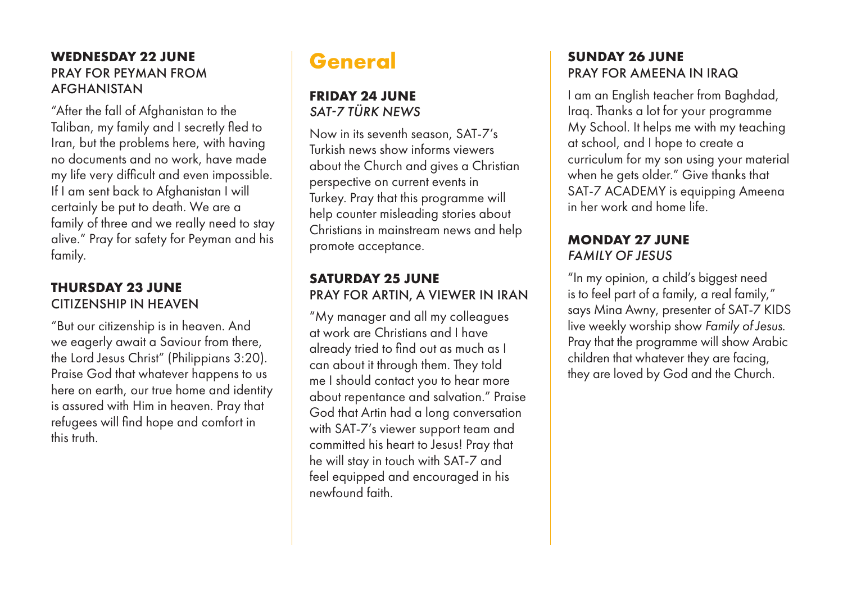#### **WEDNESDAY 22 JUNE** PRAY FOR PEYMAN FROM AFGHANISTAN

"After the fall of Afghanistan to the Taliban, my family and I secretly fled to Iran, but the problems here, with having no documents and no work, have made my life very difficult and even impossible. If I am sent back to Afghanistan I will certainly be put to death. We are a family of three and we really need to stay alive." Pray for safety for Peyman and his family.

#### **THURSDAY 23 JUNE** CITIZENSHIP IN HEAVEN

"But our citizenship is in heaven. And we eagerly await a Saviour from there, the Lord Jesus Christ" (Philippians 3:20). Praise God that whatever happens to us here on earth, our true home and identity is assured with Him in heaven. Pray that refugees will find hope and comfort in this truth.

## **General**

#### **FRIDAY 24 JUNE** *SAT-7 TÜRK NEWS*

Now in its seventh season, SAT-7's Turkish news show informs viewers about the Church and gives a Christian perspective on current events in Turkey. Pray that this programme will help counter misleading stories about Christians in mainstream news and help promote acceptance.

#### **SATURDAY 25 JUNE** PRAY FOR ARTIN, A VIEWER IN IRAN

"My manager and all my colleagues at work are Christians and I have already tried to find out as much as I can about it through them. They told me I should contact you to hear more about repentance and salvation." Praise God that Artin had a long conversation with SAT-7's viewer support team and committed his heart to Jesus! Pray that he will stay in touch with SAT-7 and feel equipped and encouraged in his newfound faith.

## **SUNDAY 26 JUNE** PRAY FOR AMEENA IN IRAQ

I am an English teacher from Baghdad, Iraq. Thanks a lot for your programme My School. It helps me with my teaching at school, and I hope to create a curriculum for my son using your material when he gets older." Give thanks that SAT-7 ACADEMY is equipping Ameena in her work and home life.

## **MONDAY 27 JUNE** *FAMILY OF JESUS*

"In my opinion, a child's biggest need is to feel part of a family, a real family," says Mina Awny, presenter of SAT-7 KIDS live weekly worship show *Family of Jesus*. Pray that the programme will show Arabic children that whatever they are facing, they are loved by God and the Church.